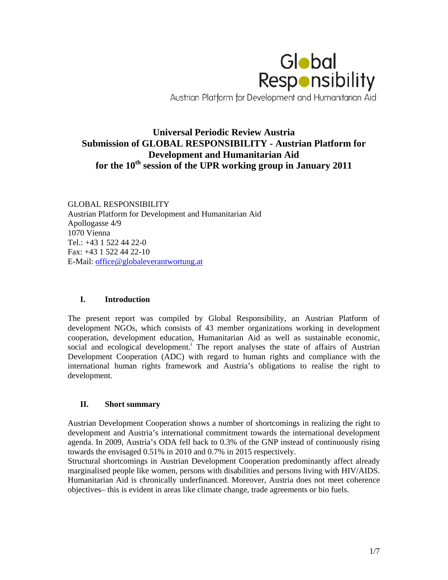

# **Universal Periodic Review Austria Submission of GLOBAL RESPONSIBILITY - Austrian Platform for Development and Humanitarian Aid for the 10th session of the UPR working group in January 2011**

GLOBAL RESPONSIBILITY Austrian Platform for Development and Humanitarian Aid Apollogasse 4/9 1070 Vienna Tel.: +43 1 522 44 22-0 Fax: +43 1 522 44 22-10 E-Mail: office@globaleverantwortung.at

## **I. Introduction**

The present report was compiled by Global Responsibility, an Austrian Platform of development NGOs, which consists of 43 member organizations working in development cooperation, development education, Humanitarian Aid as well as sustainable economic, social and ecological development.<sup>i</sup> The report analyses the state of affairs of Austrian Development Cooperation (ADC) with regard to human rights and compliance with the international human rights framework and Austria's obligations to realise the right to development.

## **II. Short summary**

Austrian Development Cooperation shows a number of shortcomings in realizing the right to development and Austria's international commitment towards the international development agenda. In 2009, Austria's ODA fell back to 0.3% of the GNP instead of continuously rising towards the envisaged 0.51% in 2010 and 0.7% in 2015 respectively.

Structural shortcomings in Austrian Development Cooperation predominantly affect already marginalised people like women, persons with disabilities and persons living with HIV/AIDS. Humanitarian Aid is chronically underfinanced. Moreover, Austria does not meet coherence objectives– this is evident in areas like climate change, trade agreements or bio fuels.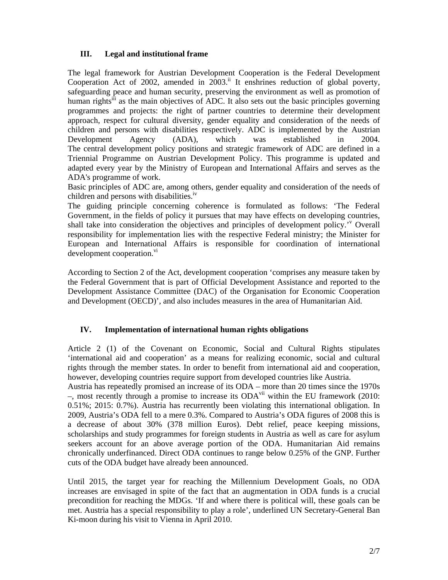# **III. Legal and institutional frame**

The legal framework for Austrian Development Cooperation is the Federal Development Cooperation Act of 2002, amended in  $2003$ .<sup>ii</sup> It enshrines reduction of global poverty, safeguarding peace and human security, preserving the environment as well as promotion of human rights<sup>iii</sup> as the main objectives of ADC. It also sets out the basic principles governing programmes and projects: the right of partner countries to determine their development approach, respect for cultural diversity, gender equality and consideration of the needs of children and persons with disabilities respectively. ADC is implemented by the Austrian Development Agency (ADA), which was established in 2004. The central development policy positions and strategic framework of ADC are defined in a Triennial Programme on Austrian Development Policy. This programme is updated and adapted every year by the Ministry of European and International Affairs and serves as the ADA's programme of work.

Basic principles of ADC are, among others, gender equality and consideration of the needs of children and persons with disabilities.<sup>IV</sup>

The guiding principle concerning coherence is formulated as follows: 'The Federal Government, in the fields of policy it pursues that may have effects on developing countries, shall take into consideration the objectives and principles of development policy.<sup>'</sup> Overall responsibility for implementation lies with the respective Federal ministry; the Minister for European and International Affairs is responsible for coordination of international development cooperation.<sup>vi</sup>

According to Section 2 of the Act, development cooperation 'comprises any measure taken by the Federal Government that is part of Official Development Assistance and reported to the Development Assistance Committee (DAC) of the Organisation for Economic Cooperation and Development (OECD)', and also includes measures in the area of Humanitarian Aid.

## **IV. Implementation of international human rights obligations**

Article 2 (1) of the Covenant on Economic, Social and Cultural Rights stipulates 'international aid and cooperation' as a means for realizing economic, social and cultural rights through the member states. In order to benefit from international aid and cooperation, however, developing countries require support from developed countries like Austria.

Austria has repeatedly promised an increase of its ODA – more than 20 times since the 1970s –, most recently through a promise to increase its  $ODA<sup>vi</sup>$  within the EU framework (2010: 0.51%; 2015: 0.7%). Austria has recurrently been violating this international obligation. In 2009, Austria's ODA fell to a mere 0.3%. Compared to Austria's ODA figures of 2008 this is a decrease of about 30% (378 million Euros). Debt relief, peace keeping missions, scholarships and study programmes for foreign students in Austria as well as care for asylum seekers account for an above average portion of the ODA. Humanitarian Aid remains chronically underfinanced. Direct ODA continues to range below 0.25% of the GNP. Further cuts of the ODA budget have already been announced.

Until 2015, the target year for reaching the Millennium Development Goals, no ODA increases are envisaged in spite of the fact that an augmentation in ODA funds is a crucial precondition for reaching the MDGs. 'If and where there is political will, these goals can be met. Austria has a special responsibility to play a role', underlined UN Secretary-General Ban Ki-moon during his visit to Vienna in April 2010.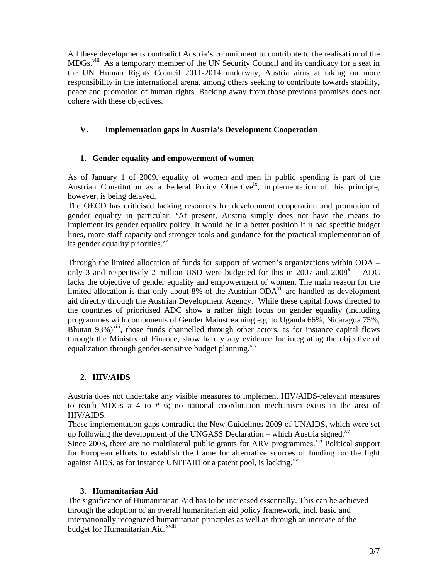All these developments contradict Austria's commitment to contribute to the realisation of the MDGs.<sup>viii</sup> As a temporary member of the UN Security Council and its candidacy for a seat in the UN Human Rights Council 2011-2014 underway, Austria aims at taking on more responsibility in the international arena, among others seeking to contribute towards stability, peace and promotion of human rights. Backing away from those previous promises does not cohere with these objectives.

# **V. Implementation gaps in Austria's Development Cooperation**

## **1. Gender equality and empowerment of women**

As of January 1 of 2009, equality of women and men in public spending is part of the Austrian Constitution as a Federal Policy Objective<sup>ix</sup>, implementation of this principle, however, is being delayed.

The OECD has criticised lacking resources for development cooperation and promotion of gender equality in particular: 'At present, Austria simply does not have the means to implement its gender equality policy. It would be in a better position if it had specific budget lines, more staff capacity and stronger tools and guidance for the practical implementation of its gender equality priorities.<sup>'x</sup>

Through the limited allocation of funds for support of women's organizations within ODA – only 3 and respectively 2 million USD were budgeted for this in 2007 and  $2008<sup>xi</sup> - ADC$ lacks the objective of gender equality and empowerment of women. The main reason for the limited allocation is that only about 8% of the Austrian ODA<sup>xii</sup> are handled as development aid directly through the Austrian Development Agency. While these capital flows directed to the countries of prioritised ADC show a rather high focus on gender equality (including programmes with components of Gender Mainstreaming e.g. to Uganda 66%, Nicaragua 75%, Bhutan  $93\%$ <sup>xiii</sup>, those funds channelled through other actors, as for instance capital flows through the Ministry of Finance, show hardly any evidence for integrating the objective of equalization through gender-sensitive budget planning.<sup>xiv</sup>

## **2. HIV/AIDS**

Austria does not undertake any visible measures to implement HIV/AIDS-relevant measures to reach MDGs  $# 4$  to  $# 6$ ; no national coordination mechanism exists in the area of HIV/AIDS.

These implementation gaps contradict the New Guidelines 2009 of UNAIDS, which were set up following the development of the UNGASS Declaration – which Austria signed.<sup>xv</sup> Since  $2003$ , there are no multilateral public grants for ARV programmes.<sup>xvi</sup> Political support for European efforts to establish the frame for alternative sources of funding for the fight against AIDS, as for instance UNITAID or a patent pool, is lacking.<sup>xvii</sup>

## **3. Humanitarian Aid**

The significance of Humanitarian Aid has to be increased essentially. This can be achieved through the adoption of an overall humanitarian aid policy framework, incl. basic and internationally recognized humanitarian principles as well as through an increase of the budget for Humanitarian Aid.<sup>xviii</sup>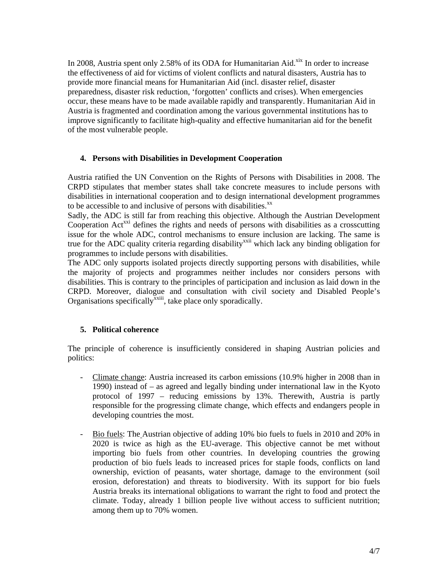In 2008, Austria spent only 2.58% of its ODA for Humanitarian Aid. $x$ <sup>xix</sup> In order to increase the effectiveness of aid for victims of violent conflicts and natural disasters, Austria has to provide more financial means for Humanitarian Aid (incl. disaster relief, disaster preparedness, disaster risk reduction, 'forgotten' conflicts and crises). When emergencies occur, these means have to be made available rapidly and transparently. Humanitarian Aid in Austria is fragmented and coordination among the various governmental institutions has to improve significantly to facilitate high-quality and effective humanitarian aid for the benefit of the most vulnerable people.

#### **4. Persons with Disabilities in Development Cooperation**

Austria ratified the UN Convention on the Rights of Persons with Disabilities in 2008. The CRPD stipulates that member states shall take concrete measures to include persons with disabilities in international cooperation and to design international development programmes to be accessible to and inclusive of persons with disabilities.<sup>xx</sup>

Sadly, the ADC is still far from reaching this objective. Although the Austrian Development Cooperation Act<sup>xxi</sup> defines the rights and needs of persons with disabilities as a crosscutting issue for the whole ADC, control mechanisms to ensure inclusion are lacking. The same is true for the ADC quality criteria regarding disability<sup>xxii</sup> which lack any binding obligation for programmes to include persons with disabilities.

The ADC only supports isolated projects directly supporting persons with disabilities, while the majority of projects and programmes neither includes nor considers persons with disabilities. This is contrary to the principles of participation and inclusion as laid down in the CRPD. Moreover, dialogue and consultation with civil society and Disabled People's Organisations specifically<sup>xxiii</sup>, take place only sporadically.

#### **5. Political coherence**

The principle of coherence is insufficiently considered in shaping Austrian policies and politics:

- Climate change: Austria increased its carbon emissions (10.9% higher in 2008 than in 1990) instead of – as agreed and legally binding under international law in the Kyoto protocol of 1997 – reducing emissions by 13%. Therewith, Austria is partly responsible for the progressing climate change, which effects and endangers people in developing countries the most.
- Bio fuels: The Austrian objective of adding 10% bio fuels to fuels in 2010 and 20% in 2020 is twice as high as the EU-average. This objective cannot be met without importing bio fuels from other countries. In developing countries the growing production of bio fuels leads to increased prices for staple foods, conflicts on land ownership, eviction of peasants, water shortage, damage to the environment (soil erosion, deforestation) and threats to biodiversity. With its support for bio fuels Austria breaks its international obligations to warrant the right to food and protect the climate. Today, already 1 billion people live without access to sufficient nutrition; among them up to 70% women.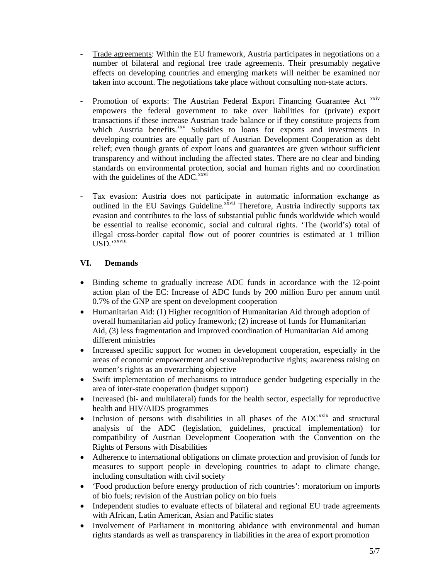- Trade agreements: Within the EU framework, Austria participates in negotiations on a number of bilateral and regional free trade agreements. Their presumably negative effects on developing countries and emerging markets will neither be examined nor taken into account. The negotiations take place without consulting non-state actors.
- Promotion of exports: The Austrian Federal Export Financing Guarantee Act xxiv empowers the federal government to take over liabilities for (private) export transactions if these increase Austrian trade balance or if they constitute projects from which Austria benefits.<sup>xxv</sup> Subsidies to loans for exports and investments in developing countries are equally part of Austrian Development Cooperation as debt relief; even though grants of export loans and guarantees are given without sufficient transparency and without including the affected states. There are no clear and binding standards on environmental protection, social and human rights and no coordination with the guidelines of the ADC.<sup>xxvi</sup>
- Tax evasion: Austria does not participate in automatic information exchange as outlined in the EU Savings Guideline.<sup>xxvii</sup> Therefore, Austria indirectly supports tax evasion and contributes to the loss of substantial public funds worldwide which would be essential to realise economic, social and cultural rights. 'The (world's) total of illegal cross-border capital flow out of poorer countries is estimated at 1 trillion USD.'xxviii

## **VI. Demands**

- Binding scheme to gradually increase ADC funds in accordance with the 12-point action plan of the EC: Increase of ADC funds by 200 million Euro per annum until 0.7% of the GNP are spent on development cooperation
- Humanitarian Aid: (1) Higher recognition of Humanitarian Aid through adoption of overall humanitarian aid policy framework; (2) increase of funds for Humanitarian Aid, (3) less fragmentation and improved coordination of Humanitarian Aid among different ministries
- Increased specific support for women in development cooperation, especially in the areas of economic empowerment and sexual/reproductive rights; awareness raising on women's rights as an overarching objective
- Swift implementation of mechanisms to introduce gender budgeting especially in the area of inter-state cooperation (budget support)
- Increased (bi- and multilateral) funds for the health sector, especially for reproductive health and HIV/AIDS programmes
- Inclusion of persons with disabilities in all phases of the  $ADC<sup>xxix</sup>$  and structural analysis of the ADC (legislation, guidelines, practical implementation) for compatibility of Austrian Development Cooperation with the Convention on the Rights of Persons with Disabilities
- Adherence to international obligations on climate protection and provision of funds for measures to support people in developing countries to adapt to climate change, including consultation with civil society
- 'Food production before energy production of rich countries': moratorium on imports of bio fuels; revision of the Austrian policy on bio fuels
- Independent studies to evaluate effects of bilateral and regional EU trade agreements with African, Latin American, Asian and Pacific states
- Involvement of Parliament in monitoring abidance with environmental and human rights standards as well as transparency in liabilities in the area of export promotion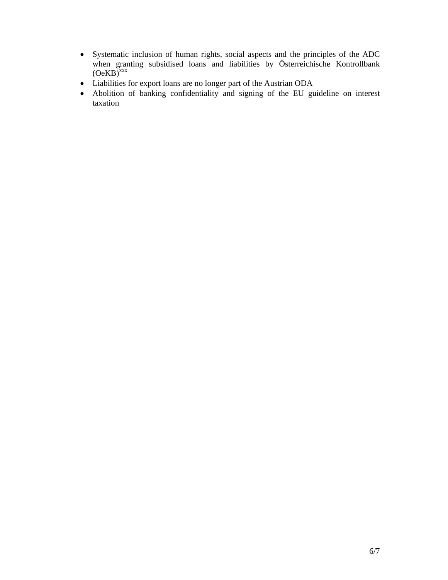- Systematic inclusion of human rights, social aspects and the principles of the ADC when granting subsidised loans and liabilities by Österreichische Kontrollbank  $(OeKB)^{xxx}$
- Liabilities for export loans are no longer part of the Austrian ODA
- Abolition of banking confidentiality and signing of the EU guideline on interest taxation